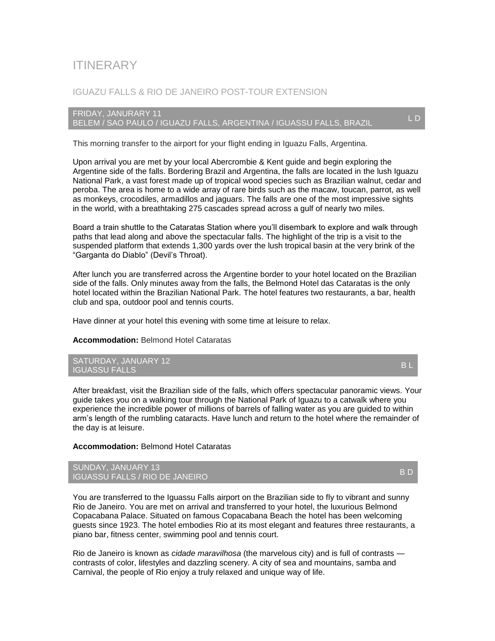# **ITINERARY**

## IGUAZU FALLS & RIO DE JANEIRO POST-TOUR EXTENSION

#### FRIDAY, JANURARY 11 BELEM / SAO PAULO / IGUAZU FALLS, ARGENTINA / IGUASSU FALLS, BRAZIL L D

This morning transfer to the airport for your flight ending in Iguazu Falls, Argentina.

Upon arrival you are met by your local Abercrombie & Kent guide and begin exploring the Argentine side of the falls. Bordering Brazil and Argentina, the falls are located in the lush Iguazu National Park, a vast forest made up of tropical wood species such as Brazilian walnut, cedar and peroba. The area is home to a wide array of rare birds such as the macaw, toucan, parrot, as well as monkeys, crocodiles, armadillos and jaguars. The falls are one of the most impressive sights in the world, with a breathtaking 275 cascades spread across a gulf of nearly two miles.

Board a train shuttle to the Cataratas Station where you'll disembark to explore and walk through paths that lead along and above the spectacular falls. The highlight of the trip is a visit to the suspended platform that extends 1,300 yards over the lush tropical basin at the very brink of the "Garganta do Diablo" (Devil's Throat).

After lunch you are transferred across the Argentine border to your hotel located on the Brazilian side of the falls. Only minutes away from the falls, the Belmond Hotel das Cataratas is the only hotel located within the Brazilian National Park. The hotel features two restaurants, a bar, health club and spa, outdoor pool and tennis courts.

Have dinner at your hotel this evening with some time at leisure to relax.

**Accommodation:** Belmond Hotel Cataratas

SATURDAY, JANUARY 12 SATURDAT, SANOART IZ<br>IGUASSU FALLS B L

After breakfast, visit the Brazilian side of the falls, which offers spectacular panoramic views. Your guide takes you on a walking tour through the National Park of Iguazu to a catwalk where you experience the incredible power of millions of barrels of falling water as you are guided to within arm's length of the rumbling cataracts. Have lunch and return to the hotel where the remainder of the day is at leisure.

#### **Accommodation:** Belmond Hotel Cataratas

SUNDAY, JANUARY 13 IGUASSU FALLS / RIO DE JANEIRO B DE DE LA BILITANIA DE LA BILITANIA DE LA BILITANIA DE LA BILITANIA DE LA BILI<br>IGUASSU FALLS / RIO DE JANEIRO

You are transferred to the Iguassu Falls airport on the Brazilian side to fly to vibrant and sunny Rio de Janeiro. You are met on arrival and transferred to your hotel, the luxurious Belmond Copacabana Palace. Situated on famous Copacabana Beach the hotel has been welcoming guests since 1923. The hotel embodies Rio at its most elegant and features three restaurants, a piano bar, fitness center, swimming pool and tennis court.

Rio de Janeiro is known as *cidade maravilhosa* (the marvelous city) and is full of contrasts contrasts of color, lifestyles and dazzling scenery. A city of sea and mountains, samba and Carnival, the people of Rio enjoy a truly relaxed and unique way of life.